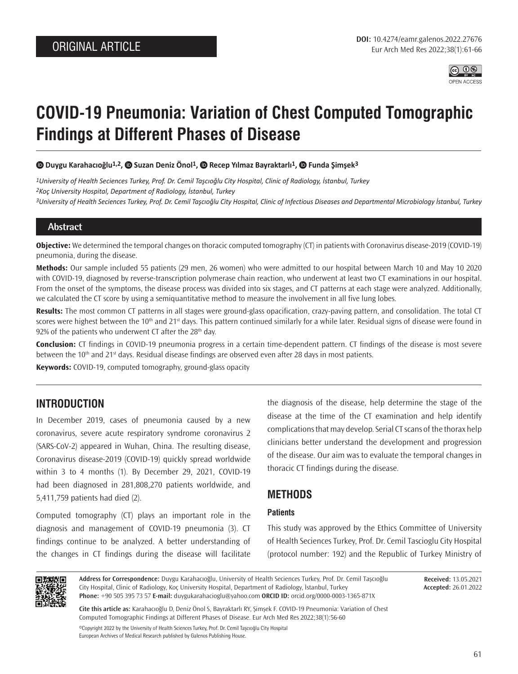

# **COVID-19 Pneumonia: Variation of Chest Computed Tomographic Findings at Different Phases of Disease**

 **Duygu Karahacıoğlu1,2, Suzan Deniz Önol1, Recep Yılmaz Bayraktarlı1,Funda Şimşek3**

*1University of Health Seciences Turkey, Prof. Dr. Cemil Taşcıoğlu City Hospital, Clinic of Radiology, İstanbul, Turkey 2Koç University Hospital, Department of Radiology, İstanbul, Turkey 3University of Health Seciences Turkey, Prof. Dr. Cemil Taşcıoğlu City Hospital, Clinic of Infectious Diseases and Departmental Microbiology İstanbul, Turkey*

### **Abstract**

**Objective:** We determined the temporal changes on thoracic computed tomography (CT) in patients with Coronavirus disease-2019 (COVID-19) pneumonia, during the disease.

**Methods:** Our sample included 55 patients (29 men, 26 women) who were admitted to our hospital between March 10 and May 10 2020 with COVID-19, diagnosed by reverse-transcription polymerase chain reaction, who underwent at least two CT examinations in our hospital. From the onset of the symptoms, the disease process was divided into six stages, and CT patterns at each stage were analyzed. Additionally, we calculated the CT score by using a semiquantitative method to measure the involvement in all five lung lobes.

**Results:** The most common CT patterns in all stages were ground-glass opacification, crazy-paving pattern, and consolidation. The total CT scores were highest between the 10<sup>th</sup> and 21<sup>st</sup> days. This pattern continued similarly for a while later. Residual signs of disease were found in 92% of the patients who underwent CT after the  $28<sup>th</sup>$  day.

**Conclusion:** CT findings in COVID-19 pneumonia progress in a certain time-dependent pattern. CT findings of the disease is most severe between the  $10<sup>th</sup>$  and 21<sup>st</sup> days. Residual disease findings are observed even after 28 days in most patients.

**Keywords:** COVID-19, computed tomography, ground-glass opacity

# **INTRODUCTION**

In December 2019, cases of pneumonia caused by a new coronavirus, severe acute respiratory syndrome coronavirus 2 (SARS-CoV-2) appeared in Wuhan, China. The resulting disease, Coronavirus disease-2019 (COVID-19) quickly spread worldwide within 3 to 4 months (1). By December 29, 2021, COVID-19 had been diagnosed in 281,808,270 patients worldwide, and 5,411,759 patients had died (2).

Computed tomography (CT) plays an important role in the diagnosis and management of COVID-19 pneumonia (3). CT findings continue to be analyzed. A better understanding of the changes in CT findings during the disease will facilitate

the diagnosis of the disease, help determine the stage of the disease at the time of the CT examination and help identify complications that may develop. Serial CT scans of the thorax help clinicians better understand the development and progression of the disease. Our aim was to evaluate the temporal changes in thoracic CT findings during the disease.

## **METHODS**

### **Patients**

This study was approved by the Ethics Committee of University of Health Seciences Turkey, Prof. Dr. Cemil Tascioglu City Hospital (protocol number: 192) and the Republic of Turkey Ministry of



**Address for Correspondence:** Duygu Karahacıoğlu, University of Health Seciences Turkey, Prof. Dr. Cemil Taşcıoğlu City Hospital, Clinic of Radiology, Koç University Hospital, Department of Radiology, İstanbul, Turkey **Phone:** +90 505 395 73 57 **E-mail:** duygukarahacioglu@yahoo.com **ORCID ID:** orcid.org/0000-0003-1365-871X

**Received:** 13.05.2021 **Accepted:** 26.01.2022

**Cite this article as:** Karahacıoğlu D, Deniz Önol S, Bayraktarlı RY, Şimşek F. COVID-19 Pneumonia: Variation of Chest Computed Tomographic Findings at Different Phases of Disease. Eur Arch Med Res 2022;38(1):56-60

©Copyright 2022 by the University of Health Sciences Turkey, Prof. Dr. Cemil Taşcıoğlu City Hospital European Archives of Medical Research published by Galenos Publishing House.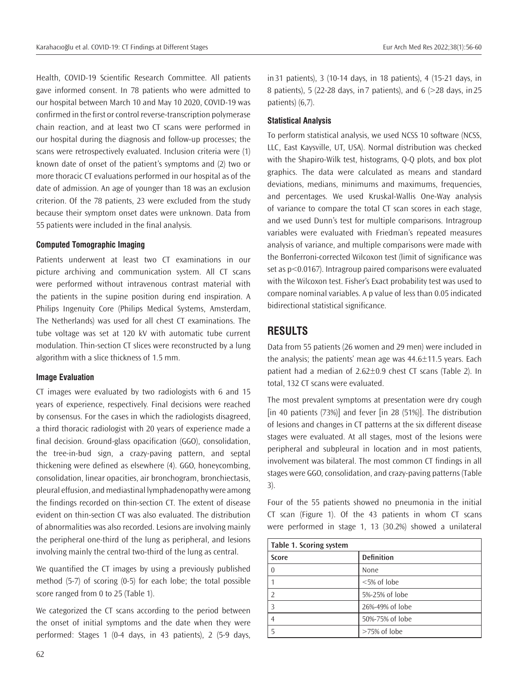Health, COVID-19 Scientific Research Committee. All patients gave informed consent. In 78 patients who were admitted to our hospital between March 10 and May 10 2020, COVID-19 was confirmed in the first or control reverse-transcription polymerase chain reaction, and at least two CT scans were performed in our hospital during the diagnosis and follow-up processes; the scans were retrospectively evaluated. Inclusion criteria were (1) known date of onset of the patient's symptoms and (2) two or more thoracic CT evaluations performed in our hospital as of the date of admission. An age of younger than 18 was an exclusion criterion. Of the 78 patients, 23 were excluded from the study because their symptom onset dates were unknown. Data from 55 patients were included in the final analysis.

#### **Computed Tomographic Imaging**

Patients underwent at least two CT examinations in our picture archiving and communication system. All CT scans were performed without intravenous contrast material with the patients in the supine position during end inspiration. A Philips Ingenuity Core (Philips Medical Systems, Amsterdam, The Netherlands) was used for all chest CT examinations. The tube voltage was set at 120 kV with automatic tube current modulation. Thin-section CT slices were reconstructed by a lung algorithm with a slice thickness of 1.5 mm.

#### **Image Evaluation**

CT images were evaluated by two radiologists with 6 and 15 years of experience, respectively. Final decisions were reached by consensus. For the cases in which the radiologists disagreed, a third thoracic radiologist with 20 years of experience made a final decision. Ground-glass opacification (GGO), consolidation, the tree-in-bud sign, a crazy-paving pattern, and septal thickening were defined as elsewhere (4). GGO, honeycombing, consolidation, linear opacities, air bronchogram, bronchiectasis, pleural effusion, and mediastinal lymphadenopathy were among the findings recorded on thin-section CT. The extent of disease evident on thin-section CT was also evaluated. The distribution of abnormalities was also recorded. Lesions are involving mainly the peripheral one-third of the lung as peripheral, and lesions involving mainly the central two-third of the lung as central.

We quantified the CT images by using a previously published method (5-7) of scoring (0-5) for each lobe; the total possible score ranged from 0 to 25 (Table 1).

We categorized the CT scans according to the period between the onset of initial symptoms and the date when they were performed: Stages 1 (0-4 days, in 43 patients), 2 (5-9 days, in31 patients), 3 (10-14 days, in 18 patients), 4 (15-21 days, in 8 patients), 5 (22-28 days, in7 patients), and 6 (>28 days, in25 patients) (6,7).

### **Statistical Analysis**

To perform statistical analysis, we used NCSS 10 software (NCSS, LLC, East Kaysville, UT, USA). Normal distribution was checked with the Shapiro-Wilk test, histograms, Q-Q plots, and box plot graphics. The data were calculated as means and standard deviations, medians, minimums and maximums, frequencies, and percentages. We used Kruskal-Wallis One-Way analysis of variance to compare the total CT scan scores in each stage, and we used Dunn's test for multiple comparisons. Intragroup variables were evaluated with Friedman's repeated measures analysis of variance, and multiple comparisons were made with the Bonferroni-corrected Wilcoxon test (limit of significance was set as p<0.0167). Intragroup paired comparisons were evaluated with the Wilcoxon test. Fisher's Exact probability test was used to compare nominal variables. A p value of less than 0.05 indicated bidirectional statistical significance.

# **RESULTS**

Data from 55 patients (26 women and 29 men) were included in the analysis; the patients' mean age was 44.6±11.5 years. Each patient had a median of 2.62±0.9 chest CT scans (Table 2). In total, 132 CT scans were evaluated.

The most prevalent symptoms at presentation were dry cough [in 40 patients (73%)] and fever [in 28 (51%)]. The distribution of lesions and changes in CT patterns at the six different disease stages were evaluated. At all stages, most of the lesions were peripheral and subpleural in location and in most patients, involvement was bilateral. The most common CT findings in all stages were GGO, consolidation, and crazy-paving patterns (Table 3).

Four of the 55 patients showed no pneumonia in the initial CT scan (Figure 1). Of the 43 patients in whom CT scans were performed in stage 1, 13 (30.2%) showed a unilateral

| Table 1. Scoring system |                   |
|-------------------------|-------------------|
| Score                   | <b>Definition</b> |
|                         | None              |
|                         | <5% of lobe       |
|                         | 5%-25% of lobe    |
|                         | 26%-49% of lobe   |
|                         | 50%-75% of lobe   |
|                         | >75% of lobe      |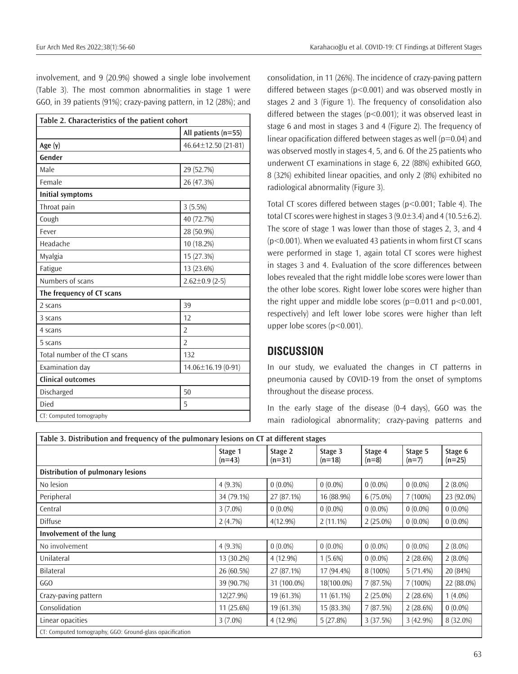involvement, and 9 (20.9%) showed a single lobe involvement (Table 3). The most common abnormalities in stage 1 were GGO, in 39 patients (91%); crazy-paving pattern, in 12 (28%); and

| Table 2. Characteristics of the patient cohort |                           |  |  |  |  |
|------------------------------------------------|---------------------------|--|--|--|--|
|                                                | All patients (n=55)       |  |  |  |  |
| Age $(y)$                                      | $46.64 \pm 12.50$ (21-81) |  |  |  |  |
| Gender                                         |                           |  |  |  |  |
| Male                                           | 29 (52.7%)                |  |  |  |  |
| Female                                         | 26 (47.3%)                |  |  |  |  |
| <b>Initial symptoms</b>                        |                           |  |  |  |  |
| Throat pain                                    | 3(5.5%)                   |  |  |  |  |
| Cough                                          | 40 (72.7%)                |  |  |  |  |
| Fever                                          | 28 (50.9%)                |  |  |  |  |
| Headache                                       | 10 (18.2%)                |  |  |  |  |
| Myalgia                                        | 15 (27.3%)                |  |  |  |  |
| Fatigue                                        | 13 (23.6%)                |  |  |  |  |
| Numbers of scans                               | $2.62 \pm 0.9$ (2-5)      |  |  |  |  |
| The frequency of CT scans                      |                           |  |  |  |  |
| 2 scans                                        | 39                        |  |  |  |  |
| 3 scans                                        | 12                        |  |  |  |  |
| 4 scans                                        | $\overline{2}$            |  |  |  |  |
| 5 scans                                        | $\overline{2}$            |  |  |  |  |
| Total number of the CT scans                   | 132                       |  |  |  |  |
| Examination day                                | 14.06±16.19 (0-91)        |  |  |  |  |
| <b>Clinical outcomes</b>                       |                           |  |  |  |  |
| Discharged                                     | 50                        |  |  |  |  |
| Died                                           | 5                         |  |  |  |  |
| CT: Computed tomography                        |                           |  |  |  |  |

consolidation, in 11 (26%). The incidence of crazy-paving pattern differed between stages (p<0.001) and was observed mostly in stages 2 and 3 (Figure 1). The frequency of consolidation also differed between the stages ( $p$ <0.001); it was observed least in stage 6 and most in stages 3 and 4 (Figure 2). The frequency of linear opacification differed between stages as well ( $p=0.04$ ) and was observed mostly in stages 4, 5, and 6. Of the 25 patients who underwent CT examinations in stage 6, 22 (88%) exhibited GGO, 8 (32%) exhibited linear opacities, and only 2 (8%) exhibited no radiological abnormality (Figure 3).

Total CT scores differed between stages (p<0.001; Table 4). The total CT scores were highest in stages 3 (9.0 $\pm$ 3.4) and 4 (10.5 $\pm$ 6.2). The score of stage 1 was lower than those of stages 2, 3, and 4  $(p<0.001)$ . When we evaluated 43 patients in whom first CT scans were performed in stage 1, again total CT scores were highest in stages 3 and 4. Evaluation of the score differences between lobes revealed that the right middle lobe scores were lower than the other lobe scores. Right lower lobe scores were higher than the right upper and middle lobe scores ( $p=0.011$  and  $p<0.001$ , respectively) and left lower lobe scores were higher than left upper lobe scores (p<0.001).

# **DISCUSSION**

In our study, we evaluated the changes in CT patterns in pneumonia caused by COVID-19 from the onset of symptoms throughout the disease process.

In the early stage of the disease (0-4 days), GGO was the main radiological abnormality; crazy-paving patterns and

| Table 3. Distribution and frequency of the pulmonary lesions on CT at different stages |                     |                     |                     |                    |                    |                     |  |  |  |
|----------------------------------------------------------------------------------------|---------------------|---------------------|---------------------|--------------------|--------------------|---------------------|--|--|--|
|                                                                                        | Stage 1<br>$(n=43)$ | Stage 2<br>$(n=31)$ | Stage 3<br>$(n=18)$ | Stage 4<br>$(n=8)$ | Stage 5<br>$(n=7)$ | Stage 6<br>$(n=25)$ |  |  |  |
| Distribution of pulmonary lesions                                                      |                     |                     |                     |                    |                    |                     |  |  |  |
| No lesion                                                                              | 4(9.3%)             | $0(0.0\%)$          | $0(0.0\%)$          | $0(0.0\%)$         | $0(0.0\%)$         | $2(8.0\%)$          |  |  |  |
| Peripheral                                                                             | 34 (79.1%)          | 27 (87.1%)          | 16 (88.9%)          | $6(75.0\%)$        | $7(100\%)$         | 23 (92.0%)          |  |  |  |
| Central                                                                                | $3(7.0\%)$          | $0(0.0\%)$          | $0(0.0\%)$          | $0(0.0\%)$         | $0(0.0\%)$         | $0(0.0\%)$          |  |  |  |
| <b>Diffuse</b>                                                                         | 2(4.7%)             | $4(12.9\%)$         | $2(11.1\%)$         | $2(25.0\%)$        | $0(0.0\%)$         | $0(0.0\%)$          |  |  |  |
| Involvement of the lung                                                                |                     |                     |                     |                    |                    |                     |  |  |  |
| No involvement                                                                         | $4(9.3\%)$          | $0(0.0\%)$          | $0(0.0\%)$          | $0(0.0\%)$         | $0(0.0\%)$         | $2(8.0\%)$          |  |  |  |
| Unilateral                                                                             | 13 (30.2%)          | 4 (12.9%)           | $1(5.6\%)$          | $0(0.0\%)$         | 2(28.6%)           | $2(8.0\%)$          |  |  |  |
| <b>Bilateral</b>                                                                       | 26 (60.5%)          | 27 (87.1%)          | 17 (94.4%)          | 8 (100%)           | 5(71.4%)           | 20 (84%)            |  |  |  |
| GGO                                                                                    | 39 (90.7%)          | 31 (100.0%)         | 18(100.0%)          | 7 (87.5%)          | $7(100\%)$         | 22 (88.0%)          |  |  |  |
| Crazy-paving pattern                                                                   | 12(27.9%)           | 19 (61.3%)          | $11(61.1\%)$        | $2(25.0\%)$        | 2(28.6%)           | $1(4.0\%)$          |  |  |  |
| Consolidation                                                                          | 11 (25.6%)          | 19 (61.3%)          | 15 (83.3%)          | 7 (87.5%)          | 2(28.6%)           | $0(0.0\%)$          |  |  |  |
| Linear opacities                                                                       | $3(7.0\%)$          | 4 (12.9%)           | 5(27.8%)            | 3(37.5%)           | 3(42.9%)           | 8 (32.0%)           |  |  |  |
| CT: Computed tomography, GGO: Ground-glass opacification                               |                     |                     |                     |                    |                    |                     |  |  |  |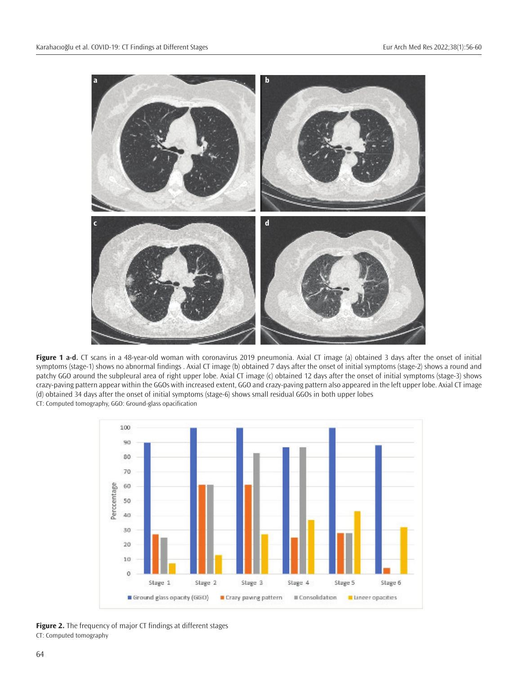

**Figure 1 a-d.** CT scans in a 48-year-old woman with coronavirus 2019 pneumonia. Axial CT image (a) obtained 3 days after the onset of initial symptoms (stage-1) shows no abnormal findings . Axial CT image (b) obtained 7 days after the onset of initial symptoms (stage-2) shows a round and patchy GGO around the subpleural area of right upper lobe. Axial CT image (c) obtained 12 days after the onset of initial symptoms (stage-3) shows crazy-paving pattern appear within the GGOs with increased extent, GGO and crazy-paving pattern also appeared in the left upper lobe. Axial CT image (d) obtained 34 days after the onset of initial symptoms (stage-6) shows small residual GGOs in both upper lobes CT: Computed tomography, GGO: Ground-glass opacification



**Figure 2.** The frequency of major CT findings at different stages CT: Computed tomography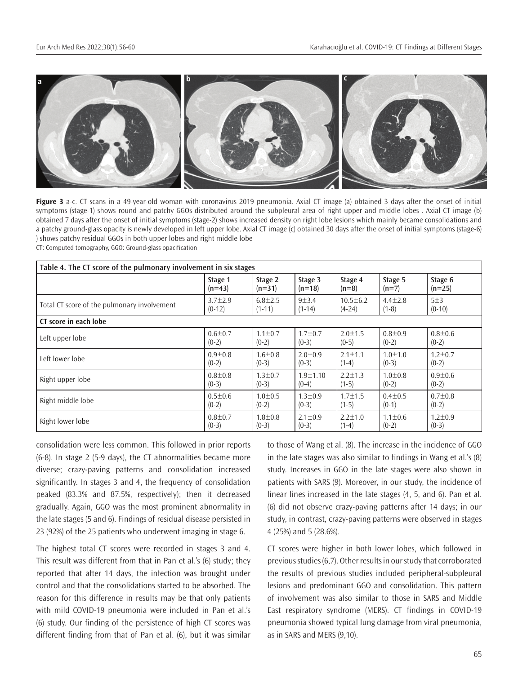

**Figure 3** a-c. CT scans in a 49-year-old woman with coronavirus 2019 pneumonia. Axial CT image (a) obtained 3 days after the onset of initial symptoms (stage-1) shows round and patchy GGOs distributed around the subpleural area of right upper and middle lobes . Axial CT image (b) obtained 7 days after the onset of initial symptoms (stage-2) shows increased density on right lobe lesions which mainly became consolidations and a patchy ground-glass opacity is newly developed in left upper lobe. Axial CT image (c) obtained 30 days after the onset of initial symptoms (stage-6) ) shows patchy residual GGOs in both upper lobes and right middle lobe

CT: Computed tomography, GGO: Ground-glass opacification

| Table 4. The CT score of the pulmonary involvement in six stages |               |               |               |                |               |               |  |  |
|------------------------------------------------------------------|---------------|---------------|---------------|----------------|---------------|---------------|--|--|
|                                                                  | Stage 1       | Stage 2       | Stage 3       | Stage 4        | Stage 5       | Stage 6       |  |  |
|                                                                  | $(n=43)$      | $(n=31)$      | $(n=18)$      | $(n=8)$        | $(n=7)$       | $(n=25)$      |  |  |
| Total CT score of the pulmonary involvement                      | $3.7 \pm 2.9$ | $6.8 \pm 2.5$ | $9 + 3.4$     | $10.5 \pm 6.2$ | $4.4 \pm 2.8$ | 5±3           |  |  |
|                                                                  | $(0-12)$      | $(1-11)$      | $(1-14)$      | $(4-24)$       | $(1-8)$       | $(0-10)$      |  |  |
| CT score in each lobe                                            |               |               |               |                |               |               |  |  |
| Left upper lobe                                                  | $0.6 + 0.7$   | $1.1 \pm 0.7$ | $1.7 \pm 0.7$ | $2.0 + 1.5$    | $0.8 + 0.9$   | $0.8 + 0.6$   |  |  |
|                                                                  | $(0-2)$       | $(0-2)$       | $(0-3)$       | $(0-5)$        | $(0-2)$       | $(0-2)$       |  |  |
| Left lower lobe                                                  | $0.9 + 0.8$   | $1.6 + 0.8$   | $2.0 + 0.9$   | $2.1 + 1.1$    | $1.0 + 1.0$   | $1.2 \pm 0.7$ |  |  |
|                                                                  | $(0-2)$       | $(0-3)$       | $(0-3)$       | $(1-4)$        | $(0-3)$       | $(0-2)$       |  |  |
| Right upper lobe                                                 | $0.8 + 0.8$   | $1.3 \pm 0.7$ | $1.9 + 1.10$  | $2.2 \pm 1.3$  | $1.0 + 0.8$   | $0.9 + 0.6$   |  |  |
|                                                                  | $(0-3)$       | $(0-3)$       | $(0-4)$       | $(1-5)$        | $(0-2)$       | $(0-2)$       |  |  |
| Right middle lobe                                                | $0.5 + 0.6$   | $1.0 + 0.5$   | $1.3 + 0.9$   | $1.7 + 1.5$    | $0.4 + 0.5$   | $0.7 + 0.8$   |  |  |
|                                                                  | $(0-2)$       | $(0-2)$       | $(0-3)$       | $(1-5)$        | $(0-1)$       | $(0-2)$       |  |  |
| Right lower lobe                                                 | $0.8 + 0.7$   | $1.8 + 0.8$   | $2.1 \pm 0.9$ | $2.2 \pm 1.0$  | $1.1 \pm 0.6$ | $1.2 \pm 0.9$ |  |  |
|                                                                  | $(0-3)$       | $(0-3)$       | $(0-3)$       | $(1-4)$        | $(0-2)$       | $(0-3)$       |  |  |

consolidation were less common. This followed in prior reports (6-8). In stage 2 (5-9 days), the CT abnormalities became more diverse; crazy-paving patterns and consolidation increased significantly. In stages 3 and 4, the frequency of consolidation peaked (83.3% and 87.5%, respectively); then it decreased gradually. Again, GGO was the most prominent abnormality in the late stages (5 and 6). Findings of residual disease persisted in 23 (92%) of the 25 patients who underwent imaging in stage 6.

The highest total CT scores were recorded in stages 3 and 4. This result was different from that in Pan et al.'s (6) study; they reported that after 14 days, the infection was brought under control and that the consolidations started to be absorbed. The reason for this difference in results may be that only patients with mild COVID-19 pneumonia were included in Pan et al.'s (6) study. Our finding of the persistence of high CT scores was different finding from that of Pan et al. (6), but it was similar

to those of Wang et al. (8). The increase in the incidence of GGO in the late stages was also similar to findings in Wang et al.'s (8) study. Increases in GGO in the late stages were also shown in patients with SARS (9). Moreover, in our study, the incidence of linear lines increased in the late stages (4, 5, and 6). Pan et al. (6) did not observe crazy-paving patterns after 14 days; in our study, in contrast, crazy-paving patterns were observed in stages 4 (25%) and 5 (28.6%).

CT scores were higher in both lower lobes, which followed in previous studies (6,7). Other results in our study that corroborated the results of previous studies included peripheral-subpleural lesions and predominant GGO and consolidation. This pattern of involvement was also similar to those in SARS and Middle East respiratory syndrome (MERS). CT findings in COVID-19 pneumonia showed typical lung damage from viral pneumonia, as in SARS and MERS (9,10).